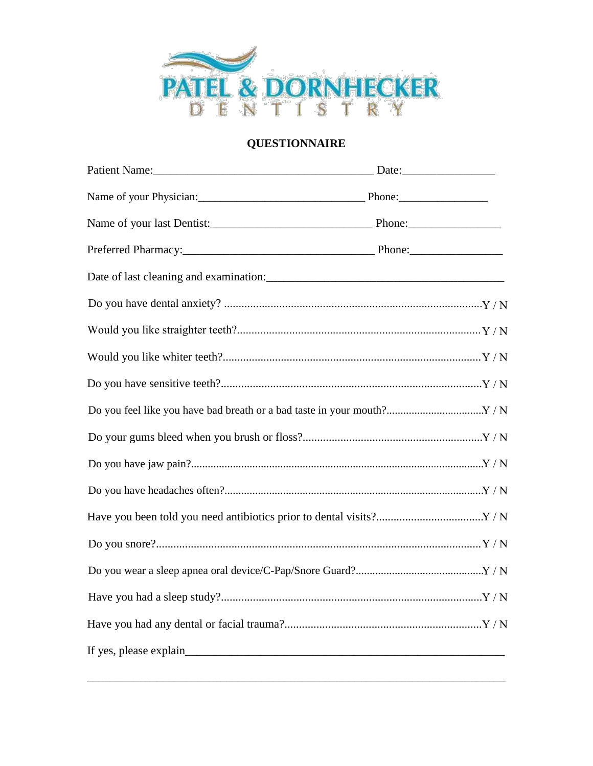

## **QUESTIONNAIRE**

| Name of your Physician: Phone: Phone: |  |
|---------------------------------------|--|
|                                       |  |
|                                       |  |
|                                       |  |
|                                       |  |
|                                       |  |
|                                       |  |
|                                       |  |
|                                       |  |
|                                       |  |
|                                       |  |
|                                       |  |
|                                       |  |
|                                       |  |
|                                       |  |
|                                       |  |
|                                       |  |
| If yes, please explain                |  |